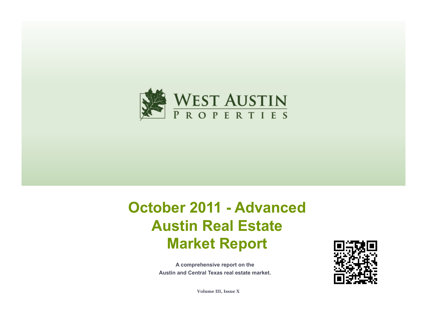

# **October 2011 - Advanced Austin Real Estate Market Report**

**A comprehensive report on the Austin and Central Texas real estate market.**



**Volume III, Issue X**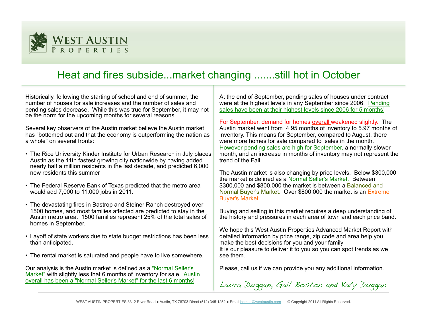

# Heat and fires subside...market changing .......still hot in October

Historically, following the starting of school and end of summer, the number of houses for sale increases and the number of sales and pending sales decrease. While this was true for September, it may not be the norm for the upcoming months for several reasons.

Several key observers of the Austin market believe the Austin market has "bottomed out and that the economy is outperforming the nation as a whole" on several fronts:

- The Rice University Kinder Institute for Urban Research in July places Austin as the 11th fastest growing city nationwide by having added nearly half a million residents in the last decade, and predicted 6,000 new residents this summer
- The Federal Reserve Bank of Texas predicted that the metro area would add 7,000 to 11,000 jobs in 2011.
- The devastating fires in Bastrop and Steiner Ranch destroyed over 1500 homes, and most families affected are predicted to stay in the Austin metro area. 1500 families represent 25% of the total sales of homes in September.
- Layoff of state workers due to state budget restrictions has been less than anticipated.
- The rental market is saturated and people have to live somewhere.

Our analysis is the Austin market is defined as a "Normal Seller's Market" with slightly less that 6 months of inventory for sale. Austin overall has been a "Normal Seller's Market" for the last 6 months!

At the end of September, pending sales of houses under contract were at the highest levels in any September since 2006. Pending sales have been at their highest levels since 2006 for 5 months!

For September, demand for homes overall weakened slightly. The Austin market went from 4.95 months of inventory to 5.97 months of inventory. This means for September, compared to August, there were more homes for sale compared to sales in the month. However pending sales are high for September, a normally slower month, and an increase in months of inventory may not represent the trend of the Fall.

The Austin market is also changing by price levels. Below \$300,000 the market is defined as a Normal Seller's Market. Between \$300,000 and \$800,000 the market is between a Balanced and Normal Buyer's Market. Over \$800,000 the market is an Extreme Buyer's Market.

Buying and selling in this market requires a deep understanding of the history and pressures in each area of town and each price band.

We hope this West Austin Properties Advanced Market Report with detailed information by price range, zip code and area help you make the best decisions for you and your family It is our pleasure to deliver it to you so you can spot trends as we see them.

Please, call us if we can provide you any additional information.

Laura Duggan, Gail Boston and Katy Duggan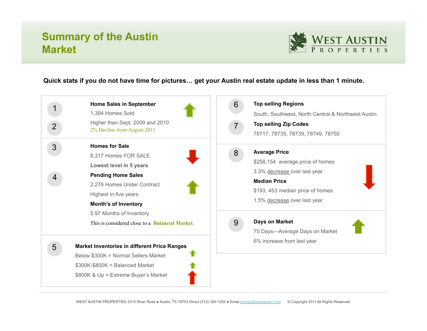# **Summary of the Austin Market**



#### **Quick stats if you do not have time for pictures… get your Austin real estate update in less than 1 minute.**

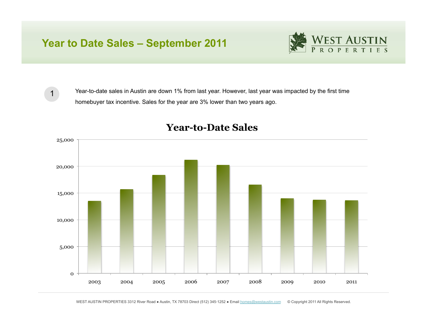# **Year to Date Sales – September 2011**



1

Year-to-date sales in Austin are down 1% from last year. However, last year was impacted by the first time homebuyer tax incentive. Sales for the year are 3% lower than two years ago.



#### **Year-to-Date Sales**

WEST AUSTIN PROPERTIES 3312 River Road · Austin, TX 78703 Direct (512) 345-1252 · Email homes@westaustin.com © Copyright 2011 All Rights Reserved.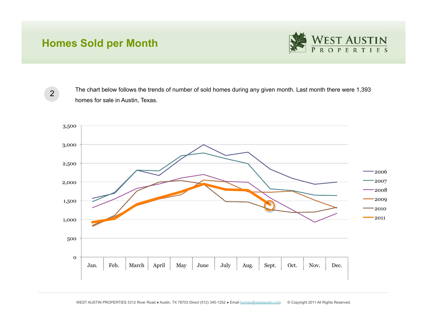# **Homes Sold per Month**



2

The chart below follows the trends of number of sold homes during any given month. Last month there were 1,393 homes for sale in Austin, Texas.

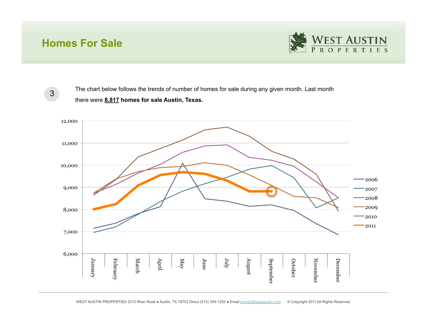### **Homes For Sale**



3

The chart below follows the trends of number of homes for sale during any given month. Last month there were **8,817 homes for sale Austin, Texas.** 

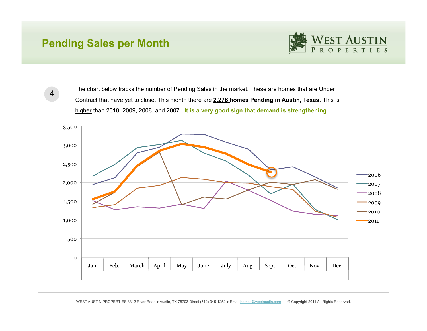### **Pending Sales per Month**



4

The chart below tracks the number of Pending Sales in the market. These are homes that are Under Contract that have yet to close. This month there are **2,276 homes Pending in Austin, Texas.** This is higher than 2010, 2009, 2008, and 2007. **It is a very good sign that demand is strengthening.**

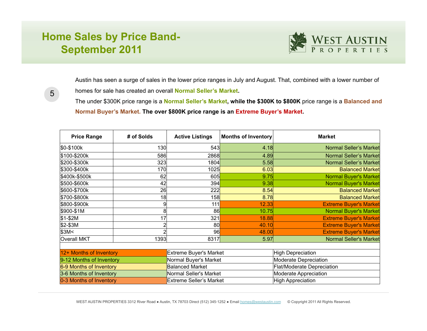# **Home Sales by Price Band-September 2011**



Austin has seen a surge of sales in the lower price ranges in July and August. That, combined with a lower number of homes for sale has created an overall **Normal Seller's Market.** 

5

The under \$300K price range is a **Normal Seller's Market, while the \$300K to \$800K** price range is a **Balanced and Normal Buyer's Market. The over \$800K price range is an Extreme Buyer's Market.**

| <b>Price Range</b>       | # of Solds | <b>Active Listings</b>         | Months of Inventory | <b>Market</b>                 |  |  |  |  |
|--------------------------|------------|--------------------------------|---------------------|-------------------------------|--|--|--|--|
| \$0-\$100k               | 130        | 543                            | 4.18                | <b>Normal Seller's Market</b> |  |  |  |  |
| \$100-\$200k             | 586        | 2868                           | 4.89                | <b>Normal Seller's Market</b> |  |  |  |  |
| \$200-\$300k             | 323        | 1804                           | 5.58                | Normal Seller's Market        |  |  |  |  |
| \$300-\$400k             | 170        | 1025                           | 6.03                | <b>Balanced Market</b>        |  |  |  |  |
| \$400k-\$500k            | 62         | 605                            | 9.75                | <b>Normal Buyer's Market</b>  |  |  |  |  |
| \$500-\$600k             | 42         | 394                            | 9.38                | <b>Normal Buyer's Market</b>  |  |  |  |  |
| \$600-\$700k             | 26         | 222                            | 8.54                | <b>Balanced Market</b>        |  |  |  |  |
| \$700-\$800k             | 18         | 158                            | 8.78                | <b>Balanced Market</b>        |  |  |  |  |
| \$800-\$900k             | 9          | 111                            | 12.33               | <b>Extreme Buyer's Market</b> |  |  |  |  |
| \$900-\$1M               | 8          | 86                             | 10.75               | <b>Normal Buyer's Market</b>  |  |  |  |  |
| $$1-$2M$                 | 17         | 321                            | 18.88               | <b>Extreme Buyer's Market</b> |  |  |  |  |
| $$2-$3M$                 |            | 80                             | 40.10               | <b>Extreme Buyer's Market</b> |  |  |  |  |
| \$3M<                    |            | 96                             | 48.00               | <b>Extreme Buyer's Market</b> |  |  |  |  |
| <b>Overall MKT</b>       | 1393       | 8317                           | 5.97                | Normal Seller's Market        |  |  |  |  |
|                          |            |                                |                     |                               |  |  |  |  |
| 12+ Months of Inventory  |            | <b>Extreme Buyer's Market</b>  |                     | <b>High Depreciation</b>      |  |  |  |  |
| 9-12 Months of Inventory |            | Normal Buyer's Market          |                     | Moderate Depreciation         |  |  |  |  |
| 6-9 Months of Inventory  |            | <b>Balanced Market</b>         |                     | Flat/Moderate Depreciation    |  |  |  |  |
| 3-6 Months of Inventory  |            | Normal Seller's Market         |                     | <b>Moderate Appreciation</b>  |  |  |  |  |
| 0-3 Months of Inventory  |            | <b>Extreme Seller's Market</b> |                     | <b>High Appreciation</b>      |  |  |  |  |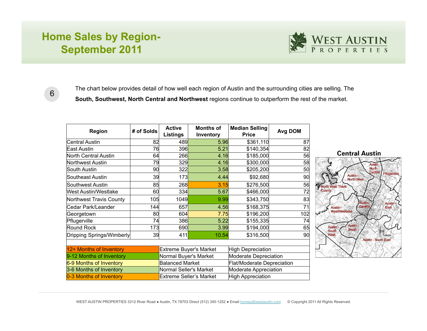# **Home Sales by Region-September 2011**



6

The chart below provides detail of how well each region of Austin and the surrounding cities are selling. The **South, Southwest, North Central and Northwest** regions continue to outperform the rest of the market.

| <b>Region</b>               | # of Solds                    | <b>Active</b><br><b>Listings</b> | <b>Months of</b><br>Inventory     | <b>Median Selling</b><br><b>Price</b> | Avg DOM         |
|-----------------------------|-------------------------------|----------------------------------|-----------------------------------|---------------------------------------|-----------------|
| <b>Central Austin</b>       | 82                            | 489                              | 5.96                              | \$361,110                             | 87              |
| East Austin                 | 76                            | 396                              | 5.21                              | \$140,354                             | 82              |
| <b>North Central Austin</b> | 64                            | 266<br>4.16                      |                                   | \$185,000                             |                 |
| <b>Northwest Austin</b>     | 79                            |                                  | 329<br>4.16<br>\$300,000          |                                       | 58              |
| South Austin                | 90                            | 322                              | 3.58                              | \$205,200                             | 50              |
| Southeast Austin            | 39                            | 173                              | 4.44                              | \$92,680                              | 90              |
| Southwest Austin            | 85                            | 268                              | 3.15                              | \$276,500                             | 56              |
| <b>West Austin/Westlake</b> | 60                            | 334                              | 5.67                              | \$466,000                             | 72              |
| Northwest Travis County     | 105                           | 1049                             | 9.99                              | \$343,750                             | 83              |
| Cedar Park/Leander          | 144                           | 657                              | 4.56                              | \$168,375                             | 71              |
| Georgetown                  | 80                            | 604                              | 7.75                              | \$196,200                             | 102             |
| Pflugerville                | 74                            | 386                              | 5.22                              | \$155,335                             | 74              |
| Round Rock                  | 173                           | 690                              | 3.99                              | \$194,000                             | 65              |
| Dripping Springs/Wimberly   | 39                            | 411                              | 10.54                             | \$316,500                             | 90 <sup>°</sup> |
|                             |                               |                                  |                                   |                                       |                 |
| 12+ Months of Inventory     | <b>Extreme Buyer's Market</b> |                                  | <b>High Depreciation</b>          |                                       |                 |
| 9-12 Months of Inventory    | Normal Buyer's Market         |                                  | Moderate Depreciation             |                                       |                 |
| 6-9 Months of Inventory     | <b>Balanced Market</b>        |                                  | <b>Flat/Moderate Depreciation</b> |                                       |                 |
| 3-6 Months of Inventory     | Normal Seller's Market        |                                  | <b>Moderate Appreciation</b>      |                                       |                 |
| 0-3 Months of Inventory     |                               | Extreme Seller's Market          | <b>High Appreciation</b>          |                                       |                 |

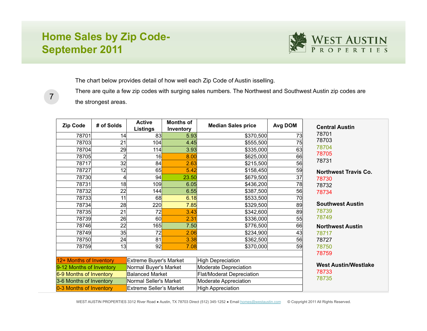# **Home Sales by Zip Code-September 2011**

7



The chart below provides detail of how well each Zip Code of Austin isselling.

There are quite a few zip codes with surging sales numbers. The Northwest and Southwest Austin zip codes are the strongest areas.

| <b>Zip Code</b>                                                                       | # of Solds | <b>Active</b><br><b>Listings</b> | <b>Months of</b><br>Inventory | <b>Median Sales price</b>        | Avg DOM | <b>Central Austin</b>       |
|---------------------------------------------------------------------------------------|------------|----------------------------------|-------------------------------|----------------------------------|---------|-----------------------------|
| 78701                                                                                 | 14         | 83                               | 5.93                          | \$370,500                        | 73      | 78701                       |
| 78703                                                                                 | 21         | 104                              | 4.45                          | \$555,500                        | 75      | 78703                       |
| 78704                                                                                 | 29         | 114                              | 3.93                          | \$335,000                        | 63      | 78704<br>78705              |
| 78705                                                                                 |            | 16                               | 8.00                          | \$625,000                        | 66      |                             |
| 78717                                                                                 | 32         | 84                               | 2.63                          | \$215,500                        | 56      | 78731                       |
| 78727                                                                                 | 12         | 65                               | 5.42                          | \$158,450                        | 59      | <b>Northwest Travis Co.</b> |
| 78730                                                                                 |            | 94                               | 23.50                         | \$679,500                        | 37      | 78730                       |
| 78731                                                                                 | 18         | 109                              | 6.05                          | \$436,200                        | 78      | 78732                       |
| 78732                                                                                 | 22         | 144                              | 6.55                          | \$387,500                        | 56      | 78734                       |
| 78733                                                                                 | 11         | 68                               | 6.18                          | \$533,500                        | 70      |                             |
| 78734                                                                                 | 28         | 220                              | 7.85                          | \$329,500                        | 89      | <b>Southwest Austin</b>     |
| 78735                                                                                 | 21         | 72                               | 3.43                          | \$342,600                        | 89      | 78739                       |
| 78739                                                                                 | 26         | 60                               | 2.31                          | \$336,000                        | 55      | 78749                       |
| 78746                                                                                 | 22         | 165                              | 7.50                          | \$776,500                        | 66      | <b>Northwest Austin</b>     |
| 78749                                                                                 | 35         | 72                               | 2.06                          | \$234,900                        | 43      | 78717                       |
| 78750                                                                                 | 24         | 81                               | 3.38                          | \$362,500                        | 56      | 78727                       |
| 78759                                                                                 | 13         | 92                               | 7.08                          | \$370,000                        | 59      | 78750                       |
|                                                                                       |            | 78759                            |                               |                                  |         |                             |
| 12+ Months of Inventory<br><b>Extreme Buyer's Market</b>                              |            |                                  | <b>High Depreciation</b>      |                                  |         |                             |
| 9-12 Months of Inventory                                                              |            | Normal Buyer's Market            |                               | Moderate Depreciation            |         | <b>West Austin/Westlake</b> |
| 6-9 Months of Inventory                                                               |            | <b>Balanced Market</b>           |                               | <b>Flat/Moderat Depreciation</b> |         | 78733<br>78735              |
| 3-6 Months of Inventory                                                               |            | Normal Seller's Market           |                               | Moderate Appreciation            |         |                             |
| 0-3 Months of Inventory<br><b>Extreme Seller's Market</b><br><b>High Appreciation</b> |            |                                  |                               |                                  |         |                             |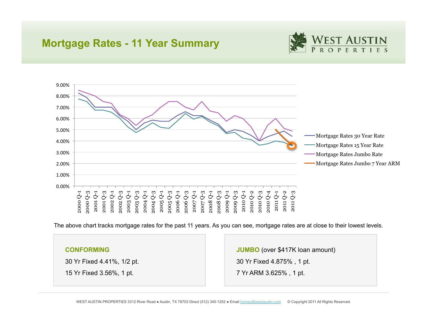#### **Mortgage Rates - 11 Year Summary**





The above chart tracks mortgage rates for the past 11 years. As you can see, mortgage rates are at close to their lowest levels.

#### **CONFORMING**

30 Yr Fixed 4.41%, 1/2 pt.

15 Yr Fixed 3.56%, 1 pt.

**JUMBO** (over \$417K loan amount) 30 Yr Fixed 4.875% , 1 pt. 7 Yr ARM 3.625% , 1 pt.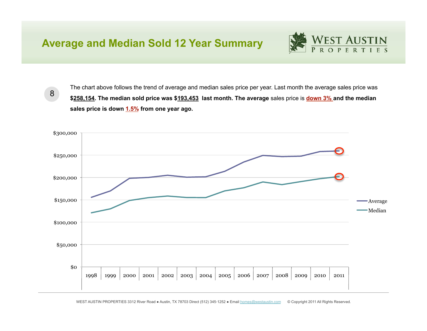# **Average and Median Sold 12 Year Summary**



8

The chart above follows the trend of average and median sales price per year. Last month the average sales price was **\$258,154. The median sold price was \$193,453 last month. The average** sales price is **down 3% and the median sales price is down 1.5% from one year ago.**

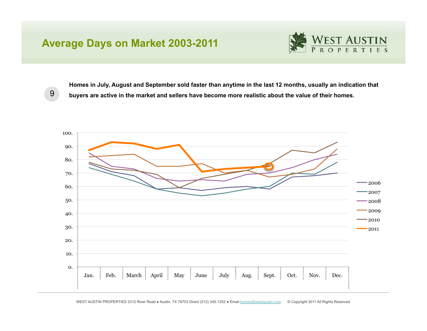### **Average Days on Market 2003-2011**

![](_page_12_Picture_1.jpeg)

**Homes in July, August and September sold faster than anytime in the last 12 months, usually an indication that buyers are active in the market and sellers have become more realistic about the value of their homes.**

![](_page_12_Figure_3.jpeg)

9